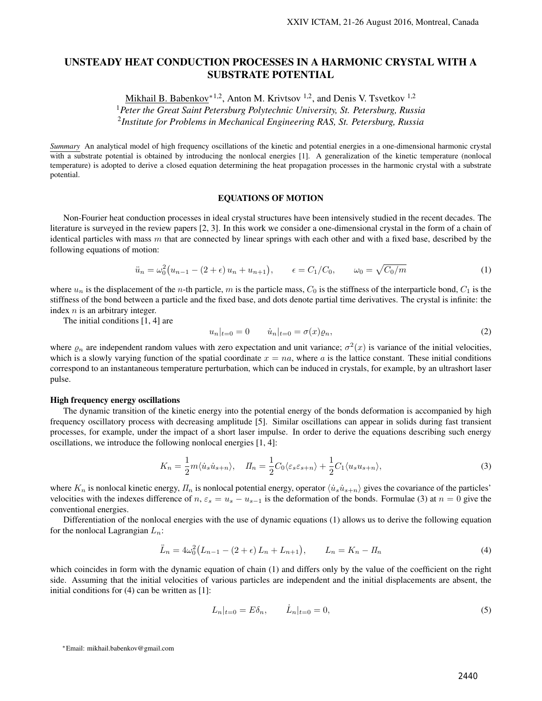# UNSTEADY HEAT CONDUCTION PROCESSES IN A HARMONIC CRYSTAL WITH A SUBSTRATE POTENTIAL

Mikhail B. Babenkov<sup>∗1,2</sup>, Anton M. Krivtsov<sup>1,2</sup>, and Denis V. Tsvetkov<sup>1,2</sup> <sup>1</sup>*Peter the Great Saint Petersburg Polytechnic University, St. Petersburg, Russia*

2 *Institute for Problems in Mechanical Engineering RAS, St. Petersburg, Russia*

*Summary* An analytical model of high frequency oscillations of the kinetic and potential energies in a one-dimensional harmonic crystal with a substrate potential is obtained by introducing the nonlocal energies [1]. A generalization of the kinetic temperature (nonlocal temperature) is adopted to derive a closed equation determining the heat propagation processes in the harmonic crystal with a substrate potential.

## EQUATIONS OF MOTION

Non-Fourier heat conduction processes in ideal crystal structures have been intensively studied in the recent decades. The literature is surveyed in the review papers [2, 3]. In this work we consider a one-dimensional crystal in the form of a chain of identical particles with mass *m* that are connected by linear springs with each other and with a fixed base, described by the following equations of motion:

$$
\ddot{u}_n = \omega_0^2 (u_{n-1} - (2 + \epsilon) u_n + u_{n+1}), \qquad \epsilon = C_1/C_0, \qquad \omega_0 = \sqrt{C_0/m} \tag{1}
$$

where  $u_n$  is the displacement of the *n*-th particle, *m* is the particle mass,  $C_0$  is the stiffness of the interparticle bond,  $C_1$  is the stiffness of the bond between a particle and the fixed base, and dots denote partial time derivatives. The crystal is infinite: the index *n* is an arbitrary integer.

The initial conditions [1, 4] are

$$
u_n|_{t=0} = 0 \t\t \dot{u}_n|_{t=0} = \sigma(x)\varrho_n,\t\t (2)
$$

where  $\varrho_n$  are independent random values with zero expectation and unit variance;  $\sigma^2(x)$  is variance of the initial velocities, which is a slowly varying function of the spatial coordinate  $x = na$ , where  $a$  is the lattice constant. These initial conditions correspond to an instantaneous temperature perturbation, which can be induced in crystals, for example, by an ultrashort laser pulse.

## High frequency energy oscillations

The dynamic transition of the kinetic energy into the potential energy of the bonds deformation is accompanied by high frequency oscillatory process with decreasing amplitude [5]. Similar oscillations can appear in solids during fast transient processes, for example, under the impact of a short laser impulse. In order to derive the equations describing such energy oscillations, we introduce the following nonlocal energies [1, 4]:

$$
K_n = \frac{1}{2}m\langle \dot{u}_s \dot{u}_{s+n} \rangle, \quad H_n = \frac{1}{2}C_0 \langle \varepsilon_s \varepsilon_{s+n} \rangle + \frac{1}{2}C_1 \langle u_s u_{s+n} \rangle,
$$
\n(3)

where  $K_n$  is nonlocal kinetic energy,  $H_n$  is nonlocal potential energy, operator  $\langle \dot{u}_s \dot{u}_{s+n} \rangle$  gives the covariance of the particles' velocities with the indexes difference of *n*,  $\varepsilon_s = u_s - u_{s-1}$  is the deformation of the bonds. Formulae (3) at  $n = 0$  give the conventional energies.

Differentiation of the nonlocal energies with the use of dynamic equations (1) allows us to derive the following equation for the nonlocal Lagrangian *Ln*:

$$
\ddot{L}_n = 4\omega_0^2 \big(L_{n-1} - (2 + \epsilon) L_n + L_{n+1}\big), \qquad L_n = K_n - \Pi_n \tag{4}
$$

which coincides in form with the dynamic equation of chain (1) and differs only by the value of the coefficient on the right side. Assuming that the initial velocities of various particles are independent and the initial displacements are absent, the initial conditions for (4) can be written as [1]:

$$
L_n|_{t=0} = E\delta_n, \qquad \dot{L}_n|_{t=0} = 0,\tag{5}
$$

*<sup>∗</sup>*Email: mikhail.babenkov@gmail.com